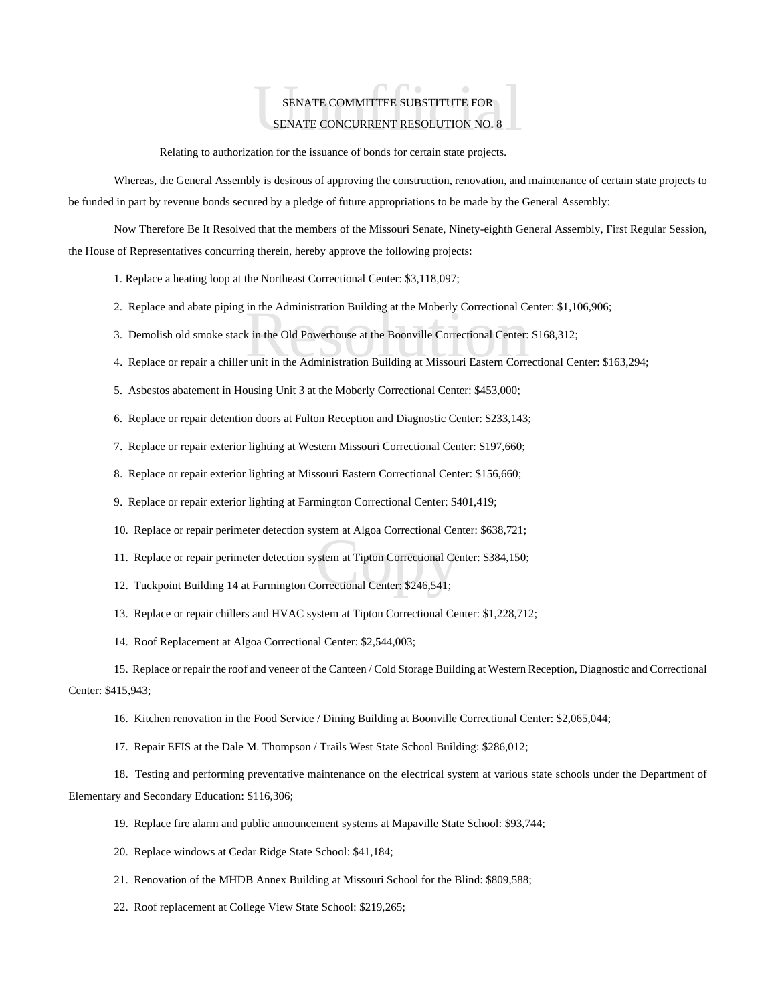## ${\small \bf SENATE\hskip.1cm COMMITTE\hskip.1cm SUBSTITUTE\hskip.1cm FOR }$   ${\small \bf SENATE\hskip.1cm CONCURRENT\hskip.1cm RESOLUTION\hskip.1cm NO.\hskip.1cm 8 }$ SENATE COMMITTEE SUBSTITUTE FOR SENATE CONCURRENT RESOLUTION NO. 8

Relating to authorization for the issuance of bonds for certain state projects.

Whereas, the General Assembly is desirous of approving the construction, renovation, and maintenance of certain state projects to be funded in part by revenue bonds secured by a pledge of future appropriations to be made by the General Assembly:

Now Therefore Be It Resolved that the members of the Missouri Senate, Ninety-eighth General Assembly, First Regular Session, the House of Representatives concurring therein, hereby approve the following projects:

1. Replace a heating loop at the Northeast Correctional Center: \$3,118,097;

- 2. Replace and abate piping in the Administration Building at the Moberly Correctional Center: \$1,106,906;
- in the Administration Building at the Moberly Correctional Ce<br>k in the Old Powerhouse at the Boonville Correctional Center:<br>r unit in the Administration Building at Missouri Eastern Corre 3. Demolish old smoke stack in the Old Powerhouse at the Boonville Correctional Center: \$168,312;
- 4. Replace or repair a chiller unit in the Administration Building at Missouri Eastern Correctional Center: \$163,294;
- 5. Asbestos abatement in Housing Unit 3 at the Moberly Correctional Center: \$453,000;
- 6. Replace or repair detention doors at Fulton Reception and Diagnostic Center: \$233,143;
- 7. Replace or repair exterior lighting at Western Missouri Correctional Center: \$197,660;
- 8. Replace or repair exterior lighting at Missouri Eastern Correctional Center: \$156,660;
- 9. Replace or repair exterior lighting at Farmington Correctional Center: \$401,419;
- 10. Replace or repair perimeter detection system at Algoa Correctional Center: \$638,721;
- stem at Tipton Correctional Certer.<br>
Stem at Tipton Correctional Certer: \$246,541; 11. Replace or repair perimeter detection system at Tipton Correctional Center: \$384,150;
- 12. Tuckpoint Building 14 at Farmington Correctional Center: \$246,541;
- 13. Replace or repair chillers and HVAC system at Tipton Correctional Center: \$1,228,712;
- 14. Roof Replacement at Algoa Correctional Center: \$2,544,003;

15. Replace or repair the roof and veneer of the Canteen / Cold Storage Building at Western Reception, Diagnostic and Correctional Center: \$415,943;

- 16. Kitchen renovation in the Food Service / Dining Building at Boonville Correctional Center: \$2,065,044;
- 17. Repair EFIS at the Dale M. Thompson / Trails West State School Building: \$286,012;

18. Testing and performing preventative maintenance on the electrical system at various state schools under the Department of Elementary and Secondary Education: \$116,306;

- 19. Replace fire alarm and public announcement systems at Mapaville State School: \$93,744;
- 20. Replace windows at Cedar Ridge State School: \$41,184;
- 21. Renovation of the MHDB Annex Building at Missouri School for the Blind: \$809,588;
- 22. Roof replacement at College View State School: \$219,265;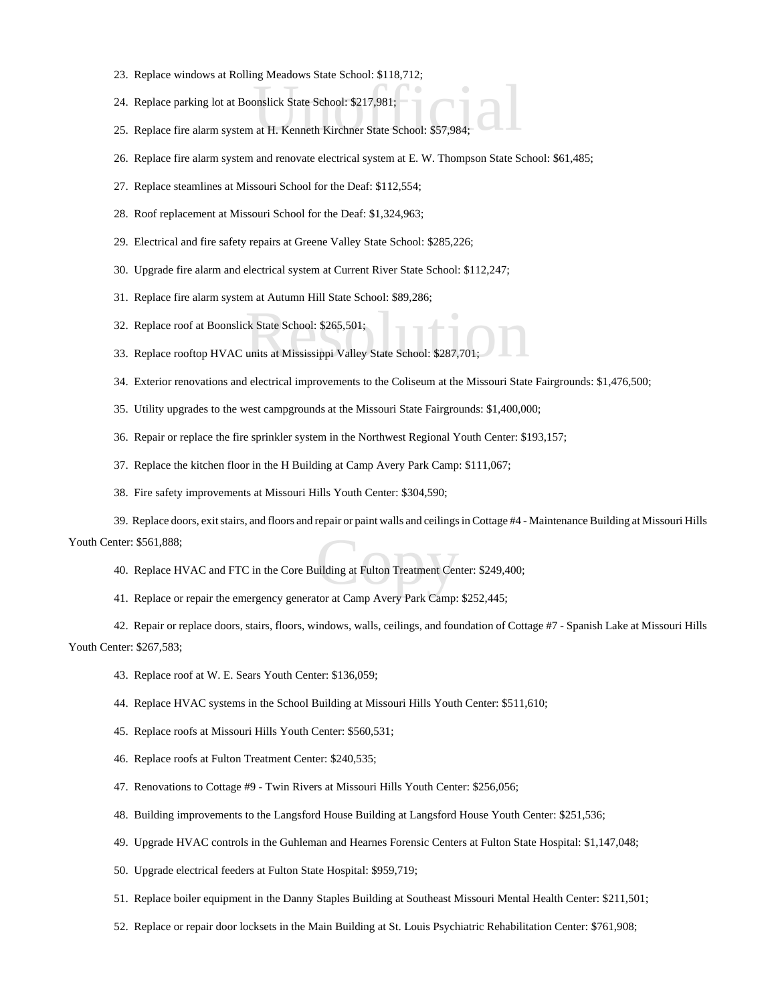- 23. Replace windows at Rolling Meadows State School: \$118,712;
- 24. Replace parking lot at Boonslick State School: \$217,981;
- 25. Replace whistows at Roming Meadows State School: \$110,712,<br>24. Replace fire alarm system at H. Kenneth Kirchner State School: \$57,984;
- 26. Replace fire alarm system and renovate electrical system at E. W. Thompson State School: \$61,485;
- 27. Replace steamlines at Missouri School for the Deaf: \$112,554;
- 28. Roof replacement at Missouri School for the Deaf: \$1,324,963;
- 29. Electrical and fire safety repairs at Greene Valley State School: \$285,226;
- 30. Upgrade fire alarm and electrical system at Current River State School: \$112,247;
- 31. Replace fire alarm system at Autumn Hill State School: \$89,286;
- 32. Replace roof at Boonslick State School: \$265,501;
- ck State School: \$265,501;<br>units at Mississippi Valley State School: \$287,701; 33. Replace rooftop HVAC units at Mississippi Valley State School: \$287,701;
- 34. Exterior renovations and electrical improvements to the Coliseum at the Missouri State Fairgrounds: \$1,476,500;
- 35. Utility upgrades to the west campgrounds at the Missouri State Fairgrounds: \$1,400,000;
- 36. Repair or replace the fire sprinkler system in the Northwest Regional Youth Center: \$193,157;
- 37. Replace the kitchen floor in the H Building at Camp Avery Park Camp: \$111,067;
- 38. Fire safety improvements at Missouri Hills Youth Center: \$304,590;

ilding at Fulton Treatment Cer $\overline{C}$ 39. Replace doors, exit stairs, and floors and repair or paint walls and ceilings in Cottage #4 - Maintenance Building at Missouri Hills Youth Center: \$561,888;

- 40. Replace HVAC and FTC in the Core Building at Fulton Treatment Center: \$249,400;
- 41. Replace or repair the emergency generator at Camp Avery Park Camp: \$252,445;

42. Repair or replace doors, stairs, floors, windows, walls, ceilings, and foundation of Cottage #7 - Spanish Lake at Missouri Hills Youth Center: \$267,583;

- 43. Replace roof at W. E. Sears Youth Center: \$136,059;
- 44. Replace HVAC systems in the School Building at Missouri Hills Youth Center: \$511,610;
- 45. Replace roofs at Missouri Hills Youth Center: \$560,531;
- 46. Replace roofs at Fulton Treatment Center: \$240,535;
- 47. Renovations to Cottage #9 Twin Rivers at Missouri Hills Youth Center: \$256,056;
- 48. Building improvements to the Langsford House Building at Langsford House Youth Center: \$251,536;
- 49. Upgrade HVAC controls in the Guhleman and Hearnes Forensic Centers at Fulton State Hospital: \$1,147,048;
- 50. Upgrade electrical feeders at Fulton State Hospital: \$959,719;
- 51. Replace boiler equipment in the Danny Staples Building at Southeast Missouri Mental Health Center: \$211,501;
- 52. Replace or repair door locksets in the Main Building at St. Louis Psychiatric Rehabilitation Center: \$761,908;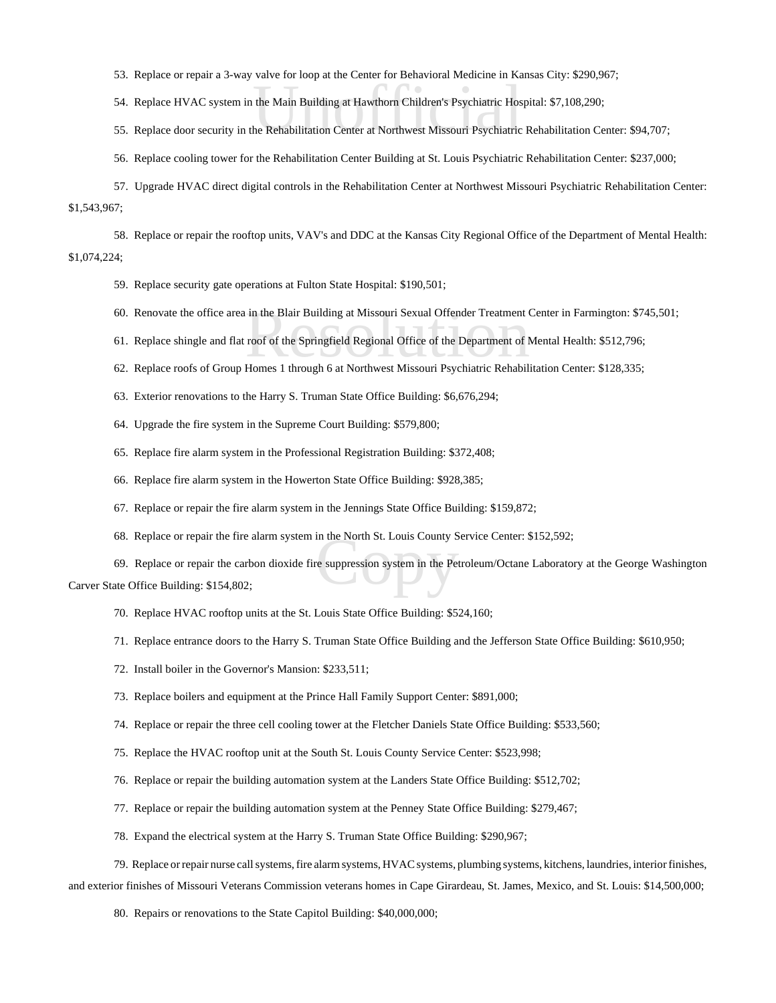- 53. Replace or repair a 3-way valve for loop at the Center for Behavioral Medicine in Kansas City: \$290,967;
- the Main Building at Hawthorn Children's Psychiatric Hostel<br>he Rehabilitation Center at Northwest Missouri Psychiatric 54. Replace HVAC system in the Main Building at Hawthorn Children's Psychiatric Hospital: \$7,108,290;
- 55. Replace door security in the Rehabilitation Center at Northwest Missouri Psychiatric Rehabilitation Center: \$94,707;
- 56. Replace cooling tower for the Rehabilitation Center Building at St. Louis Psychiatric Rehabilitation Center: \$237,000;
- 57. Upgrade HVAC direct digital controls in the Rehabilitation Center at Northwest Missouri Psychiatric Rehabilitation Center: \$1,543,967;

58. Replace or repair the rooftop units, VAV's and DDC at the Kansas City Regional Office of the Department of Mental Health: \$1,074,224;

- 59. Replace security gate operations at Fulton State Hospital: \$190,501;
- 
- 60. Renovate the office area in the Blair Building at Missouri Sexual Offender Treatment Center in Farmington: \$745,501;<br>61. Replace shingle and flat roof of the Springfield Regional Office of the Department of Mental Heal 61. Replace shingle and flat roof of the Springfield Regional Office of the Department of Mental Health: \$512,796;
- 62. Replace roofs of Group Homes 1 through 6 at Northwest Missouri Psychiatric Rehabilitation Center: \$128,335;
- 63. Exterior renovations to the Harry S. Truman State Office Building: \$6,676,294;
- 64. Upgrade the fire system in the Supreme Court Building: \$579,800;
- 65. Replace fire alarm system in the Professional Registration Building: \$372,408;
- 66. Replace fire alarm system in the Howerton State Office Building: \$928,385;
- 67. Replace or repair the fire alarm system in the Jennings State Office Building: \$159,872;
- 68. Replace or repair the fire alarm system in the North St. Louis County Service Center: \$152,592;

in the North St. Louis County S<br>
e suppression system in the Pe 69. Replace or repair the carbon dioxide fire suppression system in the Petroleum/Octane Laboratory at the George Washington Carver State Office Building: \$154,802;

- 70. Replace HVAC rooftop units at the St. Louis State Office Building: \$524,160;
- 71. Replace entrance doors to the Harry S. Truman State Office Building and the Jefferson State Office Building: \$610,950;
- 72. Install boiler in the Governor's Mansion: \$233,511;
- 73. Replace boilers and equipment at the Prince Hall Family Support Center: \$891,000;
- 74. Replace or repair the three cell cooling tower at the Fletcher Daniels State Office Building: \$533,560;
- 75. Replace the HVAC rooftop unit at the South St. Louis County Service Center: \$523,998;
- 76. Replace or repair the building automation system at the Landers State Office Building: \$512,702;
- 77. Replace or repair the building automation system at the Penney State Office Building: \$279,467;
- 78. Expand the electrical system at the Harry S. Truman State Office Building: \$290,967;

79. Replace or repair nurse call systems, fire alarm systems, HVAC systems, plumbing systems, kitchens, laundries, interior finishes, and exterior finishes of Missouri Veterans Commission veterans homes in Cape Girardeau, St. James, Mexico, and St. Louis: \$14,500,000;

80. Repairs or renovations to the State Capitol Building: \$40,000,000;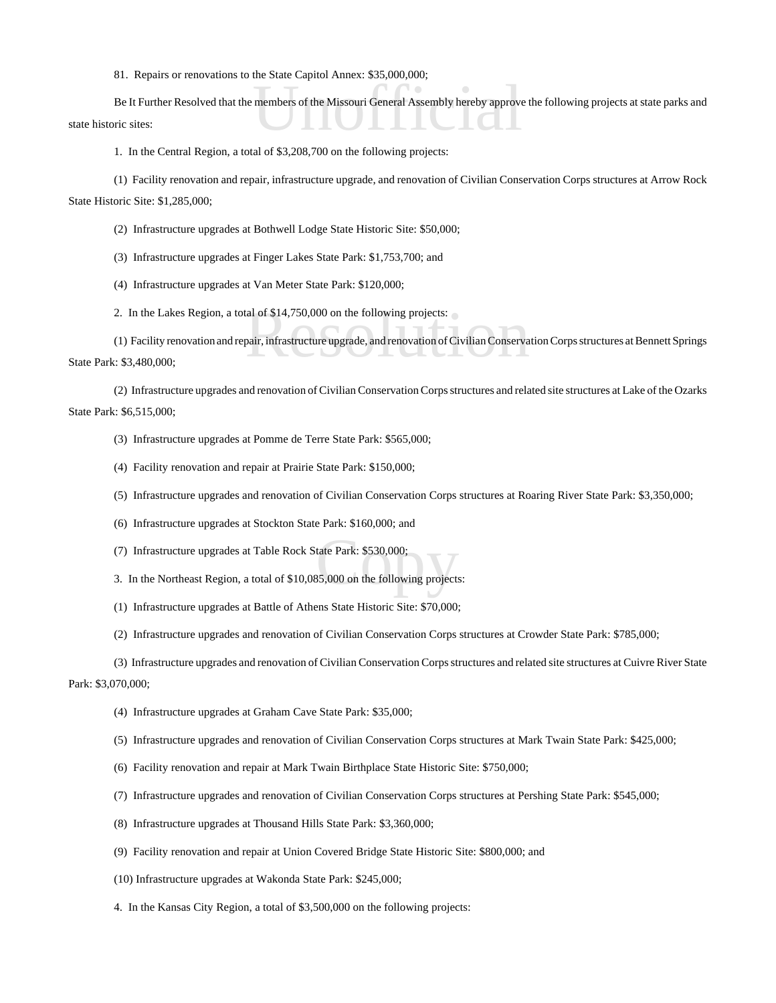81. Repairs or renovations to the State Capitol Annex: \$35,000,000;

members of the Missouri General Assembly hereby approve Be It Further Resolved that the members of the Missouri General Assembly hereby approve the following projects at state parks and state historic sites:

1. In the Central Region, a total of \$3,208,700 on the following projects:

(1) Facility renovation and repair, infrastructure upgrade, and renovation of Civilian Conservation Corps structures at Arrow Rock State Historic Site: \$1,285,000;

(2) Infrastructure upgrades at Bothwell Lodge State Historic Site: \$50,000;

(3) Infrastructure upgrades at Finger Lakes State Park: \$1,753,700; and

(4) Infrastructure upgrades at Van Meter State Park: \$120,000;

2. In the Lakes Region, a total of \$14,750,000 on the following projects:

tal of \$14,750,000 on the following projects:<br>pair, infrastructure upgrade, and renovation of Civilian Conserva (1) Facility renovation and repair, infrastructure upgrade, and renovation of Civilian Conservation Corps structures at Bennett Springs State Park: \$3,480,000;

(2) Infrastructure upgrades and renovation of Civilian Conservation Corps structures and related site structures at Lake of the Ozarks State Park: \$6,515,000;

- (3) Infrastructure upgrades at Pomme de Terre State Park: \$565,000;
- (4) Facility renovation and repair at Prairie State Park: \$150,000;
- (5) Infrastructure upgrades and renovation of Civilian Conservation Corps structures at Roaring River State Park: \$3,350,000;
- (6) Infrastructure upgrades at Stockton State Park: \$160,000; and
- (7) Infrastructure upgrades at Table Rock State Park: \$530,000;
- tate Park: \$530,000;<br>85,000 on the following project: 3. In the Northeast Region, a total of \$10,085,000 on the following projects:
- (1) Infrastructure upgrades at Battle of Athens State Historic Site: \$70,000;
- (2) Infrastructure upgrades and renovation of Civilian Conservation Corps structures at Crowder State Park: \$785,000;

(3) Infrastructure upgrades and renovation of Civilian Conservation Corps structures and related site structures at Cuivre River State Park: \$3,070,000;

- (4) Infrastructure upgrades at Graham Cave State Park: \$35,000;
- (5) Infrastructure upgrades and renovation of Civilian Conservation Corps structures at Mark Twain State Park: \$425,000;
- (6) Facility renovation and repair at Mark Twain Birthplace State Historic Site: \$750,000;
- (7) Infrastructure upgrades and renovation of Civilian Conservation Corps structures at Pershing State Park: \$545,000;
- (8) Infrastructure upgrades at Thousand Hills State Park: \$3,360,000;
- (9) Facility renovation and repair at Union Covered Bridge State Historic Site: \$800,000; and
- (10) Infrastructure upgrades at Wakonda State Park: \$245,000;
- 4. In the Kansas City Region, a total of \$3,500,000 on the following projects: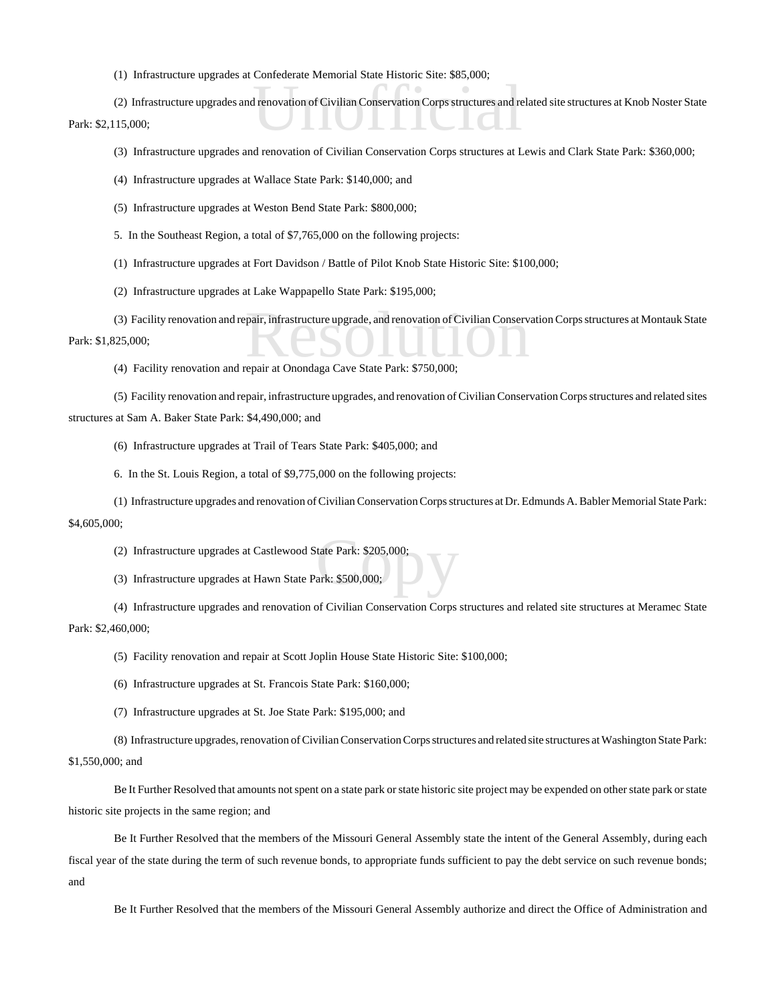(1) Infrastructure upgrades at Confederate Memorial State Historic Site: \$85,000;

I renovation of Civilian Conservation Corps structures and re (2) Infrastructure upgrades and renovation of Civilian Conservation Corps structures and related site structures at Knob Noster State Park: \$2,115,000;

- (3) Infrastructure upgrades and renovation of Civilian Conservation Corps structures at Lewis and Clark State Park: \$360,000;
- (4) Infrastructure upgrades at Wallace State Park: \$140,000; and
- (5) Infrastructure upgrades at Weston Bend State Park: \$800,000;
- 5. In the Southeast Region, a total of \$7,765,000 on the following projects:
- (1) Infrastructure upgrades at Fort Davidson / Battle of Pilot Knob State Historic Site: \$100,000;
- (2) Infrastructure upgrades at Lake Wappapello State Park: \$195,000;
- (3) Facility renovation and repair, infrastructure upgrade, and renovation of Civilian Conservation Corps structures at Montauk State<br>(4) Eacility renovation and repair at Opondaga Cave State Park: \$750,000; Park: \$1,825,000;
	- (4) Facility renovation and repair at Onondaga Cave State Park: \$750,000;
- (5) Facility renovation and repair, infrastructure upgrades, and renovation of Civilian Conservation Corps structures and related sites

structures at Sam A. Baker State Park: \$4,490,000; and

- (6) Infrastructure upgrades at Trail of Tears State Park: \$405,000; and
- 6. In the St. Louis Region, a total of \$9,775,000 on the following projects:
- (1) Infrastructure upgrades and renovation of Civilian Conservation Corps structures at Dr. Edmunds A. Babler Memorial State Park: \$4,605,000;
	- tate Park: \$205,000;<br>ark: \$500,000; (2) Infrastructure upgrades at Castlewood State Park: \$205,000;
	- (3) Infrastructure upgrades at Hawn State Park: \$500,000;
- (4) Infrastructure upgrades and renovation of Civilian Conservation Corps structures and related site structures at Meramec State Park: \$2,460,000;
	- (5) Facility renovation and repair at Scott Joplin House State Historic Site: \$100,000;
	- (6) Infrastructure upgrades at St. Francois State Park: \$160,000;
	- (7) Infrastructure upgrades at St. Joe State Park: \$195,000; and

(8) Infrastructure upgrades, renovation of Civilian Conservation Corps structures and related site structures at Washington State Park:

## \$1,550,000; and

Be It Further Resolved that amounts not spent on a state park or state historic site project may be expended on other state park or state historic site projects in the same region; and

Be It Further Resolved that the members of the Missouri General Assembly state the intent of the General Assembly, during each fiscal year of the state during the term of such revenue bonds, to appropriate funds sufficient to pay the debt service on such revenue bonds; and

Be It Further Resolved that the members of the Missouri General Assembly authorize and direct the Office of Administration and